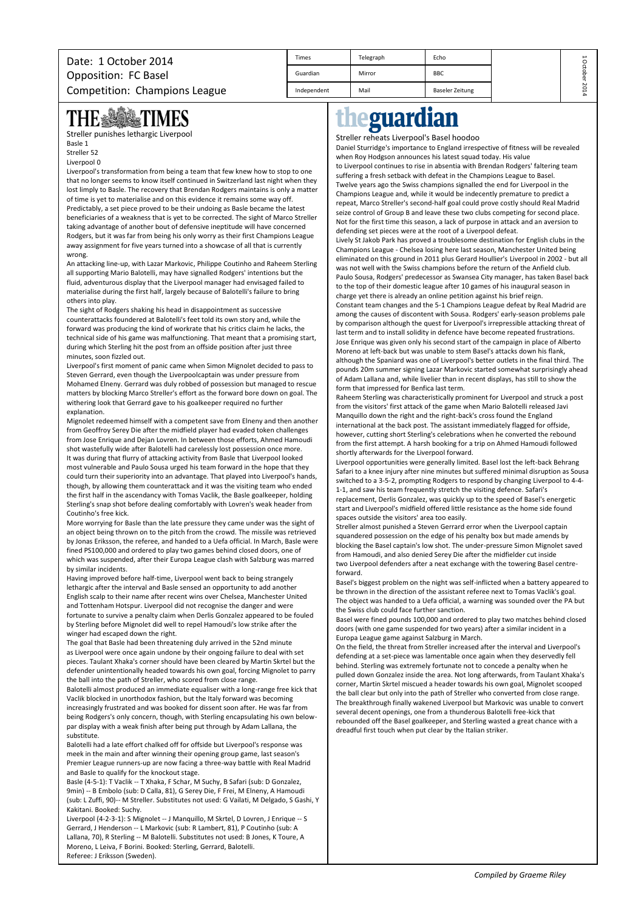| Date: 1 October 2014          | Times       | Telegraph | Echo            | ∸  |
|-------------------------------|-------------|-----------|-----------------|----|
| Opposition: FC Basel          | Guardian    | Mirror    | <b>BBC</b>      |    |
| Competition: Champions League | Independent | Mail      | Baseler Zeitung | 20 |

## **TIMES** THE SAN

Streller punishes lethargic Liverpool

Basle 1

Streller 52 Liverpool 0

Liverpool's transformation from being a team that few knew how to stop to one that no longer seems to know itself continued in Switzerland last night when they lost limply to Basle. The recovery that Brendan Rodgers maintains is only a matter of time is yet to materialise and on this evidence it remains some way off. Predictably, a set piece proved to be their undoing as Basle became the latest beneficiaries of a weakness that is yet to be corrected. The sight of Marco Streller taking advantage of another bout of defensive ineptitude will have concerned Rodgers, but it was far from being his only worry as their first Champions League away assignment for five years turned into a showcase of all that is currently wrong.

An attacking line-up, with Lazar Markovic, Philippe Coutinho and Raheem Sterling all supporting Mario Balotelli, may have signalled Rodgers' intentions but the fluid, adventurous display that the Liverpool manager had envisaged failed to materialise during the first half, largely because of Balotelli's failure to bring others into play.

The sight of Rodgers shaking his head in disappointment as successive counterattacks foundered at Balotelli's feet told its own story and, while the forward was producing the kind of workrate that his critics claim he lacks, the technical side of his game was malfunctioning. That meant that a promising start, during which Sterling hit the post from an offside position after just three minutes, soon fizzled out.

Liverpool's first moment of panic came when Simon Mignolet decided to pass to Steven Gerrard, even though the Liverpoolcaptain was under pressure from Mohamed Elneny. Gerrard was duly robbed of possession but managed to rescue matters by blocking Marco Streller's effort as the forward bore down on goal. The withering look that Gerrard gave to his goalkeeper required no further explanation.

Mignolet redeemed himself with a competent save from Elneny and then another from Geoffroy Serey Die after the midfield player had evaded token challenges from Jose Enrique and Dejan Lovren. In between those efforts, Ahmed Hamoudi shot wastefully wide after Balotelli had carelessly lost possession once more. It was during that flurry of attacking activity from Basle that Liverpool looked most vulnerable and Paulo Sousa urged his team forward in the hope that they could turn their superiority into an advantage. That played into Liverpool's hands, though, by allowing them counterattack and it was the visiting team who ended the first half in the ascendancy with Tomas Vaclik, the Basle goalkeeper, holding Sterling's snap shot before dealing comfortably with Lovren's weak header from Coutinho's free kick.

More worrying for Basle than the late pressure they came under was the sight of an object being thrown on to the pitch from the crowd. The missile was retrieved by Jonas Eriksson, the referee, and handed to a Uefa official. In March, Basle were fined PS100,000 and ordered to play two games behind closed doors, one of which was suspended, after their Europa League clash with Salzburg was marred by similar incidents.

Having improved before half-time, Liverpool went back to being strangely lethargic after the interval and Basle sensed an opportunity to add another English scalp to their name after recent wins over Chelsea, Manchester United and Tottenham Hotspur. Liverpool did not recognise the danger and were fortunate to survive a penalty claim when Derlis Gonzalez appeared to be fouled by Sterling before Mignolet did well to repel Hamoudi's low strike after the winger had escaped down the right.

The goal that Basle had been threatening duly arrived in the 52nd minute as Liverpool were once again undone by their ongoing failure to deal with set pieces. Taulant Xhaka's corner should have been cleared by Martin Skrtel but the defender unintentionally headed towards his own goal, forcing Mignolet to parry the ball into the path of Streller, who scored from close range.

Balotelli almost produced an immediate equaliser with a long-range free kick that Vaclik blocked in unorthodox fashion, but the Italy forward was becoming increasingly frustrated and was booked for dissent soon after. He was far from being Rodgers's only concern, though, with Sterling encapsulating his own belowpar display with a weak finish after being put through by Adam Lallana, the substitute.

Balotelli had a late effort chalked off for offside but Liverpool's response was meek in the main and after winning their opening group game, last season's Premier League runners-up are now facing a three-way battle with Real Madrid and Basle to qualify for the knockout stage.

Basle (4-5-1): T Vaclik -- T Xhaka, F Schar, M Suchy, B Safari (sub: D Gonzalez, 9min) -- B Embolo (sub: D Calla, 81), G Serey Die, F Frei, M Elneny, A Hamoudi (sub: L Zuffi, 90)-- M Streller. Substitutes not used: G Vailati, M Delgado, S Gashi, Y Kakitani. Booked: Suchy.

Liverpool (4-2-3-1): S Mignolet -- J Manquillo, M Skrtel, D Lovren, J Enrique -- S Gerrard, J Henderson -- L Markovic (sub: R Lambert, 81), P Coutinho (sub: A Lallana, 70), R Sterling -- M Balotelli. Substitutes not used: B Jones, K Toure, A Moreno, L Leiva, F Borini. Booked: Sterling, Gerrard, Balotelli. Referee: J Eriksson (Sweden).

# eguardian

### Streller reheats Liverpool's Basel hoodoo

Daniel Sturridge's importance to England irrespective of fitness will be revealed when Roy Hodgson announces his latest squad today. His value to Liverpool continues to rise in absentia with Brendan Rodgers' faltering team suffering a fresh setback with defeat in the Champions League to Basel. Twelve years ago the Swiss champions signalled the end for Liverpool in the Champions League and, while it would be indecently premature to predict a repeat, Marco Streller's second-half goal could prove costly should Real Madrid seize control of Group B and leave these two clubs competing for second place. Not for the first time this season, a lack of purpose in attack and an aversion to defending set pieces were at the root of a Liverpool defeat.

Lively St Jakob Park has proved a troublesome destination for English clubs in the Champions League - Chelsea losing here last season, Manchester United being eliminated on this ground in 2011 plus Gerard Houllier's Liverpool in 2002 - but all was not well with the Swiss champions before the return of the Anfield club. Paulo Sousa, Rodgers' predecessor as Swansea City manager, has taken Basel back to the top of their domestic league after 10 games of his inaugural season in charge yet there is already an online petition against his brief reign. Constant team changes and the 5-1 Champions League defeat by Real Madrid are among the causes of discontent with Sousa. Rodgers' early-season problems pale by comparison although the quest for Liverpool's irrepressible attacking threat of last term and to install solidity in defence have become repeated frustrations. Jose Enrique was given only his second start of the campaign in place of Alberto Moreno at left-back but was unable to stem Basel's attacks down his flank, although the Spaniard was one of Liverpool's better outlets in the final third. The pounds 20m summer signing Lazar Markovic started somewhat surprisingly ahead of Adam Lallana and, while livelier than in recent displays, has still to show the

form that impressed for Benfica last term. Raheem Sterling was characteristically prominent for Liverpool and struck a post from the visitors' first attack of the game when Mario Balotelli released Javi Manquillo down the right and the right-back's cross found the England international at the back post. The assistant immediately flagged for offside, however, cutting short Sterling's celebrations when he converted the rebound from the first attempt. A harsh booking for a trip on Ahmed Hamoudi followed shortly afterwards for the Liverpool forward.

Liverpool opportunities were generally limited. Basel lost the left-back Behrang Safari to a knee injury after nine minutes but suffered minimal disruption as Sousa switched to a 3-5-2, prompting Rodgers to respond by changing Liverpool to 4-4- 1-1, and saw his team frequently stretch the visiting defence. Safari's replacement, Derlis Gonzalez, was quickly up to the speed of Basel's energetic start and Liverpool's midfield offered little resistance as the home side found spaces outside the visitors' area too easily.

Streller almost punished a Steven Gerrard error when the Liverpool captain squandered possession on the edge of his penalty box but made amends by blocking the Basel captain's low shot. The under-pressure Simon Mignolet saved from Hamoudi, and also denied Serey Die after the midfielder cut inside two Liverpool defenders after a neat exchange with the towering Basel centreforward.

Basel's biggest problem on the night was self-inflicted when a battery appeared to be thrown in the direction of the assistant referee next to Tomas Vaclik's goal. The object was handed to a Uefa official, a warning was sounded over the PA but the Swiss club could face further sanction.

Basel were fined pounds 100,000 and ordered to play two matches behind closed doors (with one game suspended for two years) after a similar incident in a Europa League game against Salzburg in March.

On the field, the threat from Streller increased after the interval and Liverpool's defending at a set-piece was lamentable once again when they deservedly fell behind. Sterling was extremely fortunate not to concede a penalty when he pulled down Gonzalez inside the area. Not long afterwards, from Taulant Xhaka's corner, Martin Skrtel miscued a header towards his own goal, Mignolet scooped the ball clear but only into the path of Streller who converted from close range. The breakthrough finally wakened Liverpool but Markovic was unable to convert several decent openings, one from a thunderous Balotelli free-kick that rebounded off the Basel goalkeeper, and Sterling wasted a great chance with a dreadful first touch when put clear by the Italian striker.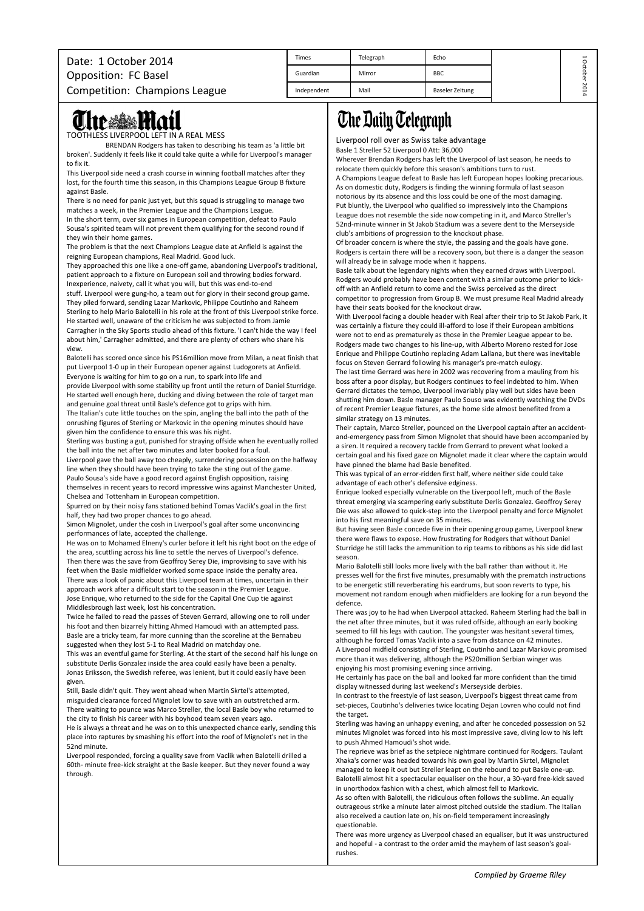| Date: 1 October 2014          | <b>Times</b> | Telegraph | Echo            | ∸ |
|-------------------------------|--------------|-----------|-----------------|---|
| Opposition: FC Basel          | Guardian     | Mirror    | <b>BBC</b>      |   |
| Competition: Champions League | Independent  | Mail      | Baseler Zeitung | õ |

# The **Mail**

TOOTHLESS LIVERPOOL LEFT IN A REAL MESS

BRENDAN Rodgers has taken to describing his team as 'a little bit broken'. Suddenly it feels like it could take quite a while for Liverpool's manager to fix it.

This Liverpool side need a crash course in winning football matches after they lost, for the fourth time this season, in this Champions League Group B fixture against Basle.

There is no need for panic just yet, but this squad is struggling to manage two matches a week, in the Premier League and the Champions League.

In the short term, over six games in European competition, defeat to Paulo Sousa's spirited team will not prevent them qualifying for the second round if they win their home games.

The problem is that the next Champions League date at Anfield is against the reigning European champions, Real Madrid. Good luck.

They approached this one like a one-off game, abandoning Liverpool's traditional, patient approach to a fixture on European soil and throwing bodies forward. Inexperience, naivety, call it what you will, but this was end-to-end

stuff. Liverpool were gung-ho, a team out for glory in their second group game. They piled forward, sending Lazar Markovic, Philippe Coutinho and Raheem Sterling to help Mario Balotelli in his role at the front of this Liverpool strike force.

He started well, unaware of the criticism he was subjected to from Jamie Carragher in the Sky Sports studio ahead of this fixture. 'I can't hide the way I feel about him,' Carragher admitted, and there are plenty of others who share his view.

Balotelli has scored once since his PS16million move from Milan, a neat finish that put Liverpool 1-0 up in their European opener against Ludogorets at Anfield. Everyone is waiting for him to go on a run, to spark into life and

provide Liverpool with some stability up front until the return of Daniel Sturridge. He started well enough here, ducking and diving between the role of target man and genuine goal threat until Basle's defence got to grips with him.

The Italian's cute little touches on the spin, angling the ball into the path of the onrushing figures of Sterling or Markovic in the opening minutes should have given him the confidence to ensure this was his night.

Sterling was busting a gut, punished for straying offside when he eventually rolled the ball into the net after two minutes and later booked for a foul.

Liverpool gave the ball away too cheaply, surrendering possession on the halfway line when they should have been trying to take the sting out of the game. Paulo Sousa's side have a good record against English opposition, raising themselves in recent years to record impressive wins against Manchester United, Chelsea and Tottenham in European competition.

Spurred on by their noisy fans stationed behind Tomas Vaclik's goal in the first half, they had two proper chances to go ahead.

Simon Mignolet, under the cosh in Liverpool's goal after some unconvincing performances of late, accepted the challenge.

He was on to Mohamed Elneny's curler before it left his right boot on the edge of the area, scuttling across his line to settle the nerves of Liverpool's defence. Then there was the save from Geoffroy Serey Die, improvising to save with his feet when the Basle midfielder worked some space inside the penalty area. There was a look of panic about this Liverpool team at times, uncertain in their approach work after a difficult start to the season in the Premier League. Jose Enrique, who returned to the side for the Capital One Cup tie against Middlesbrough last week, lost his concentration.

Twice he failed to read the passes of Steven Gerrard, allowing one to roll under his foot and then bizarrely hitting Ahmed Hamoudi with an attempted pass. Basle are a tricky team, far more cunning than the scoreline at the Bernabeu suggested when they lost 5-1 to Real Madrid on matchday one.

This was an eventful game for Sterling. At the start of the second half his lunge on substitute Derlis Gonzalez inside the area could easily have been a penalty. Jonas Eriksson, the Swedish referee, was lenient, but it could easily have been given.

Still, Basle didn't quit. They went ahead when Martin Skrtel's attempted, misguided clearance forced Mignolet low to save with an outstretched arm. There waiting to pounce was Marco Streller, the local Basle boy who returned to the city to finish his career with his boyhood team seven years ago. He is always a threat and he was on to this unexpected chance early, sending this

place into raptures by smashing his effort into the roof of Mignolet's net in the 52nd minute. Liverpool responded, forcing a quality save from Vaclik when Balotelli drilled a

60th- minute free-kick straight at the Basle keeper. But they never found a way through.

## **The Daily Telegraph**

Liverpool roll over as Swiss take advantage

Basle 1 Streller 52 Liverpool 0 Att: 36,000

Wherever Brendan Rodgers has left the Liverpool of last season, he needs to relocate them quickly before this season's ambitions turn to rust.

A Champions League defeat to Basle has left European hopes looking precarious. As on domestic duty, Rodgers is finding the winning formula of last season notorious by its absence and this loss could be one of the most damaging. Put bluntly, the Liverpool who qualified so impressively into the Champions League does not resemble the side now competing in it, and Marco Streller's 52nd-minute winner in St Jakob Stadium was a severe dent to the Merseyside club's ambitions of progression to the knockout phase.

Of broader concern is where the style, the passing and the goals have gone. Rodgers is certain there will be a recovery soon, but there is a danger the season will already be in salvage mode when it happens.

Basle talk about the legendary nights when they earned draws with Liverpool. Rodgers would probably have been content with a similar outcome prior to kickoff with an Anfield return to come and the Swiss perceived as the direct competitor to progression from Group B. We must presume Real Madrid already have their seats booked for the knockout draw.

With Liverpool facing a double header with Real after their trip to St Jakob Park, it was certainly a fixture they could ill-afford to lose if their European ambitions were not to end as prematurely as those in the Premier League appear to be. Rodgers made two changes to his line-up, with Alberto Moreno rested for Jose Enrique and Philippe Coutinho replacing Adam Lallana, but there was inevitable focus on Steven Gerrard following his manager's pre-match eulogy.

The last time Gerrard was here in 2002 was recovering from a mauling from his boss after a poor display, but Rodgers continues to feel indebted to him. When Gerrard dictates the tempo, Liverpool invariably play well but sides have been shutting him down. Basle manager Paulo Souso was evidently watching the DVDs of recent Premier League fixtures, as the home side almost benefited from a similar strategy on 13 minutes.

Their captain, Marco Streller, pounced on the Liverpool captain after an accidentand-emergency pass from Simon Mignolet that should have been accompanied by a siren. It required a recovery tackle from Gerrard to prevent what looked a certain goal and his fixed gaze on Mignolet made it clear where the captain would have pinned the blame had Basle benefited.

This was typical of an error-ridden first half, where neither side could take advantage of each other's defensive edginess.

Enrique looked especially vulnerable on the Liverpool left, much of the Basle threat emerging via scampering early substitute Derlis Gonzalez. Geoffroy Serey Die was also allowed to quick-step into the Liverpool penalty and force Mignolet into his first meaningful save on 35 minutes.

But having seen Basle concede five in their opening group game, Liverpool knew there were flaws to expose. How frustrating for Rodgers that without Daniel Sturridge he still lacks the ammunition to rip teams to ribbons as his side did last season.

Mario Balotelli still looks more lively with the ball rather than without it. He presses well for the first five minutes, presumably with the prematch instructions to be energetic still reverberating his eardrums, but soon reverts to type, his movement not random enough when midfielders are looking for a run beyond the defence

There was joy to he had when Liverpool attacked. Raheem Sterling had the ball in the net after three minutes, but it was ruled offside, although an early booking seemed to fill his legs with caution. The youngster was hesitant several times, although he forced Tomas Vaclik into a save from distance on 42 minutes. A Liverpool midfield consisting of Sterling, Coutinho and Lazar Markovic promised

more than it was delivering, although the PS20million Serbian winger was enjoying his most promising evening since arriving.

He certainly has pace on the ball and looked far more confident than the timid display witnessed during last weekend's Merseyside derbies.

In contrast to the freestyle of last season, Liverpool's biggest threat came from set-pieces, Coutinho's deliveries twice locating Dejan Lovren who could not find the target.

Sterling was having an unhappy evening, and after he conceded possession on 52 minutes Mignolet was forced into his most impressive save, diving low to his left to push Ahmed Hamoudi's shot wide.

The reprieve was brief as the setpiece nightmare continued for Rodgers. Taulant Xhaka's corner was headed towards his own goal by Martin Skrtel, Mignolet managed to keep it out but Streller leapt on the rebound to put Basle one-up. Balotelli almost hit a spectacular equaliser on the hour, a 30-yard free-kick saved in unorthodox fashion with a chest, which almost fell to Markovic.

As so often with Balotelli, the ridiculous often follows the sublime. An equally outrageous strike a minute later almost pitched outside the stadium. The Italian also received a caution late on, his on-field temperament increasingly questionable.

There was more urgency as Liverpool chased an equaliser, but it was unstructured and hopeful - a contrast to the order amid the mayhem of last season's goalrushes.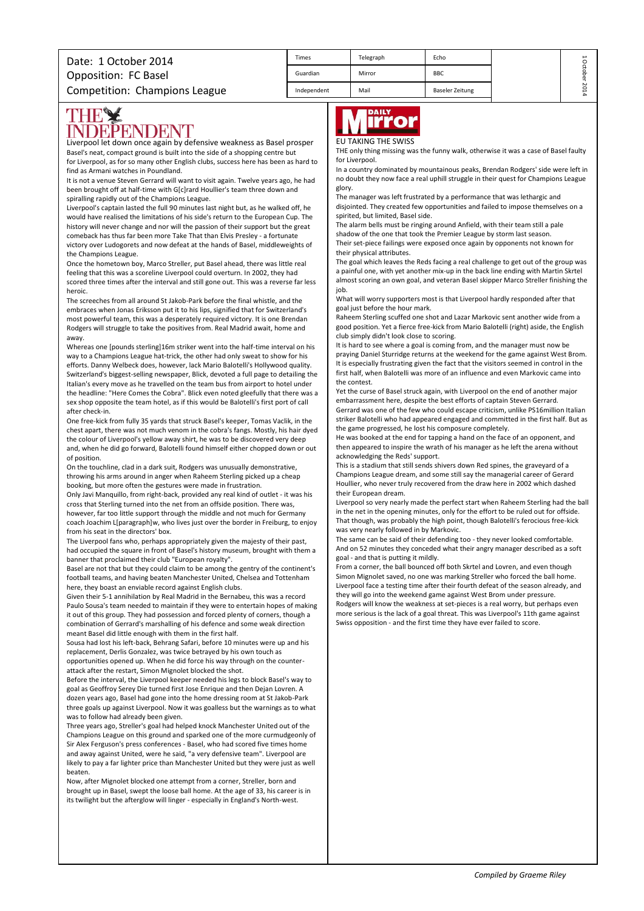| Date: 1 October 2014          | Times       | Telegraph | Echo            | ∸ |
|-------------------------------|-------------|-----------|-----------------|---|
| <b>Opposition: FC Basel</b>   | Guardian    | Mirror    | <b>BBC</b>      |   |
| Competition: Champions League | Independent | Mail      | Baseler Zeitung | δ |

## **THEY** EPENDENT

Liverpool let down once again by defensive weakness as Basel prosper Basel's neat, compact ground is built into the side of a shopping centre but for Liverpool, as for so many other English clubs, success here has been as hard to find as Armani watches in Poundland.

It is not a venue Steven Gerrard will want to visit again. Twelve years ago, he had been brought off at half-time with G[c]rard Houllier's team three down and spiralling rapidly out of the Champions League.

Liverpool's captain lasted the full 90 minutes last night but, as he walked off, he would have realised the limitations of his side's return to the European Cup. The history will never change and nor will the passion of their support but the great comeback has thus far been more Take That than Elvis Presley - a fortunate victory over Ludogorets and now defeat at the hands of Basel, middleweights of the Champions League.

Once the hometown boy, Marco Streller, put Basel ahead, there was little real feeling that this was a scoreline Liverpool could overturn. In 2002, they had scored three times after the interval and still gone out. This was a reverse far less heroic.

The screeches from all around St Jakob-Park before the final whistle, and the embraces when Jonas Eriksson put it to his lips, signified that for Switzerland's most powerful team, this was a desperately required victory. It is one Brendan Rodgers will struggle to take the positives from. Real Madrid await, home and away.

Whereas one [pounds sterling]16m striker went into the half-time interval on his way to a Champions League hat-trick, the other had only sweat to show for his efforts. Danny Welbeck does, however, lack Mario Balotelli's Hollywood quality. Switzerland's biggest-selling newspaper, Blick, devoted a full page to detailing the Italian's every move as he travelled on the team bus from airport to hotel under the headline: "Here Comes the Cobra". Blick even noted gleefully that there was a sex shop opposite the team hotel, as if this would be Balotelli's first port of call after check-in.

One free-kick from fully 35 yards that struck Basel's keeper, Tomas Vaclik, in the chest apart, there was not much venom in the cobra's fangs. Mostly, his hair dyed the colour of Liverpool's yellow away shirt, he was to be discovered very deep and, when he did go forward, Balotelli found himself either chopped down or out of position.

On the touchline, clad in a dark suit, Rodgers was unusually demonstrative, throwing his arms around in anger when Raheem Sterling picked up a cheap booking, but more often the gestures were made in frustration.

Only Javi Manquillo, from right-back, provided any real kind of outlet - it was his cross that Sterling turned into the net from an offside position. There was, however, far too little support through the middle and not much for Germany coach Joachim L[paragraph]w, who lives just over the border in Freiburg, to enjoy from his seat in the directors' box.

The Liverpool fans who, perhaps appropriately given the majesty of their past, had occupied the square in front of Basel's history museum, brought with them a banner that proclaimed their club "European royalty".

Basel are not that but they could claim to be among the gentry of the continent's football teams, and having beaten Manchester United, Chelsea and Tottenham here, they boast an enviable record against English clubs.

Given their 5-1 annihilation by Real Madrid in the Bernabeu, this was a record Paulo Sousa's team needed to maintain if they were to entertain hopes of making it out of this group. They had possession and forced plenty of corners, though a combination of Gerrard's marshalling of his defence and some weak direction meant Basel did little enough with them in the first half.

Sousa had lost his left-back, Behrang Safari, before 10 minutes were up and his replacement, Derlis Gonzalez, was twice betrayed by his own touch as opportunities opened up. When he did force his way through on the counterattack after the restart, Simon Mignolet blocked the shot.

Before the interval, the Liverpool keeper needed his legs to block Basel's way to goal as Geoffroy Serey Die turned first Jose Enrique and then Dejan Lovren. A dozen years ago, Basel had gone into the home dressing room at St Jakob-Park three goals up against Liverpool. Now it was goalless but the warnings as to what was to follow had already been given.

Three years ago, Streller's goal had helped knock Manchester United out of the Champions League on this ground and sparked one of the more curmudgeonly of Sir Alex Ferguson's press conferences - Basel, who had scored five times home and away against United, were he said, "a very defensive team". Liverpool are likely to pay a far lighter price than Manchester United but they were just as well beaten.

Now, after Mignolet blocked one attempt from a corner, Streller, born and brought up in Basel, swept the loose ball home. At the age of 33, his career is in its twilight but the afterglow will linger - especially in England's North-west.



#### EU TAKING THE SWISS

THE only thing missing was the funny walk, otherwise it was a case of Basel faulty for Liverpool.

In a country dominated by mountainous peaks, Brendan Rodgers' side were left in no doubt they now face a real uphill struggle in their quest for Champions League glory.

The manager was left frustrated by a performance that was lethargic and disjointed. They created few opportunities and failed to impose themselves on a spirited, but limited, Basel side.

The alarm bells must be ringing around Anfield, with their team still a pale shadow of the one that took the Premier League by storm last season. Their set-piece failings were exposed once again by opponents not known for their physical attributes.

The goal which leaves the Reds facing a real challenge to get out of the group was a painful one, with yet another mix-up in the back line ending with Martin Skrtel almost scoring an own goal, and veteran Basel skipper Marco Streller finishing the job.

What will worry supporters most is that Liverpool hardly responded after that goal just before the hour mark.

Raheem Sterling scuffed one shot and Lazar Markovic sent another wide from a good position. Yet a fierce free-kick from Mario Balotelli (right) aside, the English club simply didn't look close to scoring.

It is hard to see where a goal is coming from, and the manager must now be praying Daniel Sturridge returns at the weekend for the game against West Brom. It is especially frustrating given the fact that the visitors seemed in control in the first half, when Balotelli was more of an influence and even Markovic came into the contest.

Yet the curse of Basel struck again, with Liverpool on the end of another major embarrassment here, despite the best efforts of captain Steven Gerrard. Gerrard was one of the few who could escape criticism, unlike PS16million Italian striker Balotelli who had appeared engaged and committed in the first half. But as the game progressed, he lost his composure completely.

He was booked at the end for tapping a hand on the face of an opponent, and then appeared to inspire the wrath of his manager as he left the arena without acknowledging the Reds' support.

This is a stadium that still sends shivers down Red spines, the graveyard of a Champions League dream, and some still say the managerial career of Gerard Houllier, who never truly recovered from the draw here in 2002 which dashed their European dream.

Liverpool so very nearly made the perfect start when Raheem Sterling had the ball in the net in the opening minutes, only for the effort to be ruled out for offside. That though, was probably the high point, though Balotelli's ferocious free-kick was very nearly followed in by Markovic.

The same can be said of their defending too - they never looked comfortable. And on 52 minutes they conceded what their angry manager described as a soft goal - and that is putting it mildly.

From a corner, the ball bounced off both Skrtel and Lovren, and even though Simon Mignolet saved, no one was marking Streller who forced the ball home. Liverpool face a testing time after their fourth defeat of the season already, and they will go into the weekend game against West Brom under pressure. Rodgers will know the weakness at set-pieces is a real worry, but perhaps even more serious is the lack of a goal threat. This was Liverpool's 11th game against Swiss opposition - and the first time they have ever failed to score.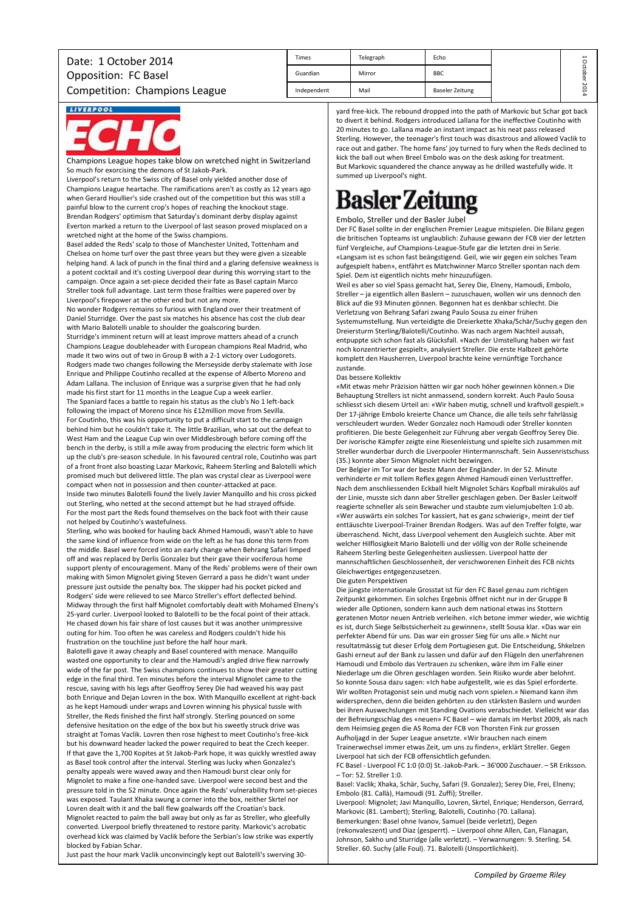| <b>Times</b> | Telegraph | Echo                   | ∸ |
|--------------|-----------|------------------------|---|
| Guardian     | Mirror    | <b>BBC</b>             | ō |
| Independent  | Mail      | <b>Baseler Zeitung</b> | κ |

# **LIVERPOOL**

Champions League hopes take blow on wretched night in Switzerland So much for exorcising the demons of St Jakob-Park.

Liverpool's return to the Swiss city of Basel only yielded another dose of Champions League heartache. The ramifications aren't as costly as 12 years ago when Gerard Houllier's side crashed out of the competition but this was still a painful blow to the current crop's hopes of reaching the knockout stage. Brendan Rodgers' optimism that Saturday's dominant derby display against Everton marked a return to the Liverpool of last season proved misplaced on a wretched night at the home of the Swiss champions.

Basel added the Reds' scalp to those of Manchester United, Tottenham and Chelsea on home turf over the past three years but they were given a sizeable helping hand. A lack of punch in the final third and a glaring defensive weakness is a potent cocktail and it's costing Liverpool dear during this worrying start to the campaign. Once again a set-piece decided their fate as Basel captain Marco Streller took full advantage. Last term those frailties were papered over by Liverpool's firepower at the other end but not any more.

No wonder Rodgers remains so furious with England over their treatment of Daniel Sturridge. Over the past six matches his absence has cost the club dear with Mario Balotelli unable to shoulder the goalscoring burden.

Sturridge's imminent return will at least improve matters ahead of a crunch Champions League doubleheader with European champions Real Madrid, who made it two wins out of two in Group B with a 2-1 victory over Ludogorets. Rodgers made two changes following the Merseyside derby stalemate with Jose Enrique and Philippe Coutinho recalled at the expense of Alberto Moreno and Adam Lallana. The inclusion of Enrique was a surprise given that he had only made his first start for 11 months in the League Cup a week earlier. The Spaniard faces a battle to regain his status as the club's No 1 left-back following the impact of Moreno since his £12million move from Sevilla. For Coutinho, this was his opportunity to put a difficult start to the campaign behind him but he couldn't take it. The little Brazilian, who sat out the defeat to West Ham and the League Cup win over Middlesbrough before coming off the bench in the derby, is still a mile away from producing the electric form which lit up the club's pre-season schedule. In his favoured central role, Coutinho was part of a front front also boasting Lazar Markovic, Raheem Sterling and Balotelli which promised much but delivered little. The plan was crystal clear as Liverpool were compact when not in possession and then counter-attacked at pace. Inside two minutes Balotelli found the lively Javier Manquillo and his cross picked

out Sterling, who netted at the second attempt but he had strayed offside. For the most part the Reds found themselves on the back foot with their cause not helped by Coutinho's wastefulness.

Sterling, who was booked for hauling back Ahmed Hamoudi, wasn't able to have the same kind of influence from wide on the left as he has done this term from the middle. Basel were forced into an early change when Behrang Safari limped off and was replaced by Derlis Gonzalez but their gave their vociferous home support plenty of encouragement. Many of the Reds' problems were of their own making with Simon Mignolet giving Steven Gerrard a pass he didn't want under pressure just outside the penalty box. The skipper had his pocket picked and Rodgers' side were relieved to see Marco Streller's effort deflected behind. Midway through the first half Mignolet comfortably dealt with Mohamed Elneny's 25-yard curler. Liverpool looked to Balotelli to be the focal point of their attack. He chased down his fair share of lost causes but it was another unimpressive outing for him. Too often he was careless and Rodgers couldn't hide his frustration on the touchline just before the half hour mark. Balotelli gave it away cheaply and Basel countered with menace. Manquillo wasted one opportunity to clear and the Hamoudi's angled drive flew narrowly wide of the far post. The Swiss champions continues to show their greater cutting edge in the final third. Ten minutes before the interval Mignolet came to the rescue, saving with his legs after Geoffroy Serey Die had weaved his way past both Enrique and Dejan Lovren in the box. With Manquillo excellent at right-back as he kept Hamoudi under wraps and Lovren winning his physical tussle with Streller, the Reds finished the first half strongly. Sterling pounced on some defensive hesitation on the edge of the box but his sweetly struck drive was straight at Tomas Vaclik. Lovren then rose highest to meet Coutinho's free-kick but his downward header lacked the power required to beat the Czech keeper. If that gave the 1,700 Kopites at St Jakob-Park hope, it was quickly wrestled away as Basel took control after the interval. Sterling was lucky when Gonzalez's penalty appeals were waved away and then Hamoudi burst clear only for Mignolet to make a fine one-handed save. Liverpool were second best and the pressure told in the 52 minute. Once again the Reds' vulnerability from set-pieces was exposed. Taulant Xhaka swung a corner into the box, neither Skrtel nor Lovren dealt with it and the ball flew goalwards off the Croatian's back. Mignolet reacted to palm the ball away but only as far as Streller, who gleefully converted. Liverpool briefly threatened to restore parity. Markovic's acrobatic overhead kick was claimed by Vaclik before the Serbian's low strike was expertly blocked by Fabian Schar.

Just past the hour mark Vaclik unconvincingly kept out Balotelli's swerving 30-

yard free-kick. The rebound dropped into the path of Markovic but Schar got back to divert it behind. Rodgers introduced Lallana for the ineffective Coutinho with 20 minutes to go. Lallana made an instant impact as his neat pass released Sterling. However, the teenager's first touch was disastrous and allowed Vaclik to race out and gather. The home fans' joy turned to fury when the Reds declined to kick the ball out when Breel Embolo was on the desk asking for treatment. But Markovic squandered the chance anyway as he drilled wastefully wide. It summed up Liverpool's night.

# **Basler Zeitung**

Embolo, Streller und der Basler Jubel

Der FC Basel sollte in der englischen Premier League mitspielen. Die Bilanz gegen die britischen Topteams ist unglaublich: Zuhause gewann der FCB vier der letzten fünf Vergleiche, auf Champions-League-Stufe gar die letzten drei in Serie. «Langsam ist es schon fast beängstigend. Geil, wie wir gegen ein solches Team aufgespielt haben», entfährt es Matchwinner Marco Streller spontan nach dem Spiel. Dem ist eigentlich nichts mehr hinzuzufügen.

Weil es aber so viel Spass gemacht hat, Serey Die, Elneny, Hamoudi, Embolo, Streller – ja eigentlich allen Baslern – zuzuschauen, wollen wir uns dennoch den Blick auf die 93 Minuten gönnen. Begonnen hat es denkbar schlecht. Die Verletzung von Behrang Safari zwang Paulo Sousa zu einer frühen Systemumstellung. Nun verteidigte die Dreierkette Xhaka/Schär/Suchy gegen den Dreiersturm Sterling/Balotelli/Coutinho. Was nach argem Nachteil aussah, entpuppte sich schon fast als Glücksfall. «Nach der Umstellung haben wir fast noch konzentrierter gespielt», analysiert Streller. Die erste Halbzeit gehörte komplett den Hausherren, Liverpool brachte keine vernünftige Torchance zustande.

## Das bessere Kollektiv

«Mit etwas mehr Präzision hätten wir gar noch höher gewinnen können.» Die Behauptung Strellers ist nicht anmassend, sondern korrekt. Auch Paulo Sousa schliesst sich diesem Urteil an: «Wir haben mutig, schnell und kraftvoll gespielt.» Der 17-jährige Embolo kreierte Chance um Chance, die alle teils sehr fahrlässig verschleudert wurden. Weder Gonzalez noch Hamoudi oder Streller konnten profitieren. Die beste Gelegenheit zur Führung aber vergab Geoffroy Serey Die. Der ivorische Kämpfer zeigte eine Riesenleistung und spielte sich zusammen mit Streller wunderbar durch die Liverpooler Hintermannschaft. Sein Aussenristschuss (35.) konnte aber Simon Mignolet nicht bezwingen.

Der Belgier im Tor war der beste Mann der Engländer. In der 52. Minute verhinderte er mit tollem Reflex gegen Ahmed Hamoudi einen Verlusttreffer. Nach dem anschliessenden Eckball hielt Mignolet Schärs Kopfball mirakulös auf der Linie, musste sich dann aber Streller geschlagen geben. Der Basler Leitwolf reagierte schneller als sein Bewacher und staubte zum vielumjubelten 1:0 ab. «Wer auswärts ein solches Tor kassiert, hat es ganz schwierig», meint der tief enttäuschte Liverpool-Trainer Brendan Rodgers. Was auf den Treffer folgte, war überraschend. Nicht, dass Liverpool vehement den Ausgleich suchte. Aber mit welcher Hilflosigkeit Mario Balotelli und der völlig von der Rolle scheinende Raheem Sterling beste Gelegenheiten ausliessen. Liverpool hatte der mannschaftlichen Geschlossenheit, der verschworenen Einheit des FCB nichts Gleichwertiges entgegenzusetzen.

Die guten Perspektiven

Die jüngste internationale Grosstat ist für den FC Basel genau zum richtigen Zeitpunkt gekommen. Ein solches Ergebnis öffnet nicht nur in der Gruppe B wieder alle Optionen, sondern kann auch dem national etwas ins Stottern geratenen Motor neuen Antrieb verleihen. «Ich betone immer wieder, wie wichtig es ist, durch Siege Selbstsicherheit zu gewinnen», stellt Sousa klar. «Das war ein perfekter Abend für uns. Das war ein grosser Sieg für uns alle.» Nicht nur resultatmässig tut dieser Erfolg dem Portugiesen gut. Die Entscheidung, Shkelzen Gashi erneut auf der Bank zu lassen und dafür auf den Flügeln den unerfahrenen Hamoudi und Embolo das Vertrauen zu schenken, wäre ihm im Falle einer Niederlage um die Ohren geschlagen worden. Sein Risiko wurde aber belohnt. So konnte Sousa dazu sagen: «Ich habe aufgestellt, wie es das Spiel erforderte. Wir wollten Protagonist sein und mutig nach vorn spielen.» Niemand kann ihm widersprechen, denn die beiden gehörten zu den stärksten Baslern und wurden bei ihren Auswechslungen mit Standing Ovations verabschiedet. Vielleicht war das der Befreiungsschlag des «neuen» FC Basel – wie damals im Herbst 2009, als nach dem Heimsieg gegen die AS Roma der FCB von Thorsten Fink zur grossen Aufholjagd in der Super League ansetzte. «Wir brauchen nach einem Trainerwechsel immer etwas Zeit, um uns zu finden», erklärt Streller. Gegen Liverpool hat sich der FCB offensichtlich gefunden.

FC Basel - Liverpool FC 1:0 (0:0) St.-Jakob-Park. – 36'000 Zuschauer. – SR Eriksson. – Tor: 52. Streller 1:0.

Basel: Vaclik; Xhaka, Schär, Suchy, Safari (9. Gonzalez); Serey Die, Frei, Elneny; Embolo (81. Callà), Hamoudi (91. Zuffi); Streller.

Liverpool: Mignolet; Javi Manquillo, Lovren, Skrtel, Enrique; Henderson, Gerrard, Markovic (81. Lambert); Sterling, Balotelli, Coutinho (70. Lallana). Bemerkungen: Basel ohne Ivanov, Samuel (beide verletzt), Degen (rekonvaleszent) und Diaz (gesperrt). – Liverpool ohne Allen, Can, Flanagan, Johnson, Sakho und Sturridge (alle verletzt). – Verwarnungen: 9. Sterling. 54. Streller. 60. Suchy (alle Foul). 71. Balotelli (Unsportlichkeit).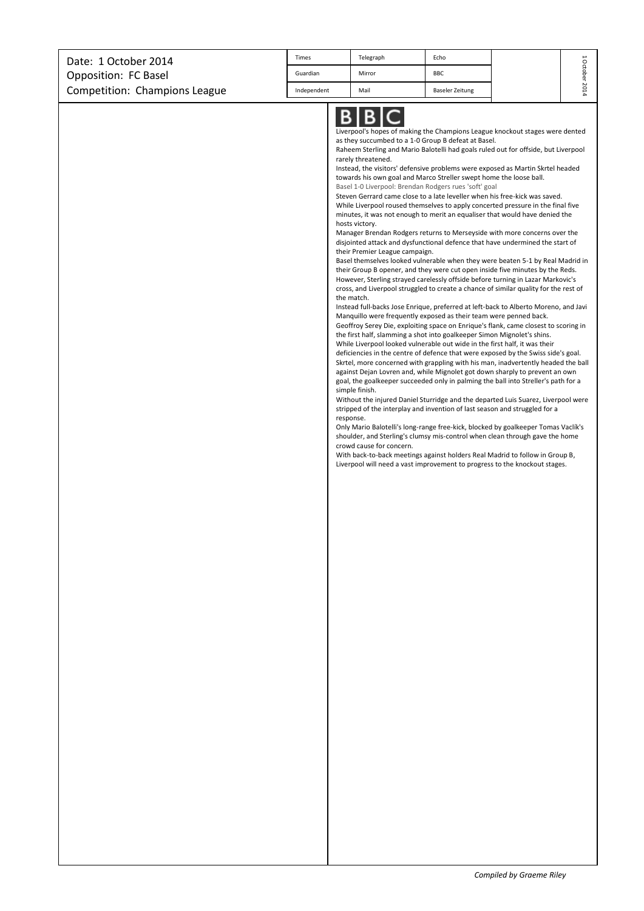| Date: 1 October 2014          | <b>Times</b> | Telegraph | Echo            | щ      |
|-------------------------------|--------------|-----------|-----------------|--------|
| Opposition: FC Basel          | Guardian     | Mirror    | <b>BBC</b>      |        |
| Competition: Champions League | Independent  | Mail      | Baseler Zeitung | $\sim$ |

Liverpool's hopes of making the Champions League knockout stages were dented as they succumbed to a 1-0 Group B defeat at Basel.

Raheem Sterling and Mario Balotelli had goals ruled out for offside, but Liverpool rarely threatened.

Instead, the visitors' defensive problems were exposed as Martin Skrtel headed towards his own goal and Marco Streller swept home the loose ball. Basel 1-0 Liverpool: Brendan Rodgers rues 'soft' goal

Steven Gerrard came close to a late leveller when his free-kick was saved. While Liverpool roused themselves to apply concerted pressure in the final five minutes, it was not enough to merit an equaliser that would have denied the hosts victory.

Manager Brendan Rodgers returns to Merseyside with more concerns over the disjointed attack and dysfunctional defence that have undermined the start of their Premier League campaign.

Basel themselves looked vulnerable when they were beaten 5-1 by Real Madrid in their Group B opener, and they were cut open inside five minutes by the Reds. However, Sterling strayed carelessly offside before turning in Lazar Markovic's cross, and Liverpool struggled to create a chance of similar quality for the rest of the match.

Instead full-backs Jose Enrique, preferred at left-back to Alberto Moreno, and Javi Manquillo were frequently exposed as their team were penned back.

Geoffroy Serey Die, exploiting space on Enrique's flank, came closest to scoring in the first half, slamming a shot into goalkeeper Simon Mignolet's shins.

While Liverpool looked vulnerable out wide in the first half, it was their deficiencies in the centre of defence that were exposed by the Swiss side's goal. Skrtel, more concerned with grappling with his man, inadvertently headed the ball against Dejan Lovren and, while Mignolet got down sharply to prevent an own goal, the goalkeeper succeeded only in palming the ball into Streller's path for a simple finish.

Without the injured Daniel Sturridge and the departed Luis Suarez, Liverpool were stripped of the interplay and invention of last season and struggled for a response.

Only Mario Balotelli's long-range free-kick, blocked by goalkeeper Tomas Vaclík's shoulder, and Sterling's clumsy mis-control when clean through gave the home crowd cause for concern.

With back-to-back meetings against holders Real Madrid to follow in Group B, Liverpool will need a vast improvement to progress to the knockout stages.